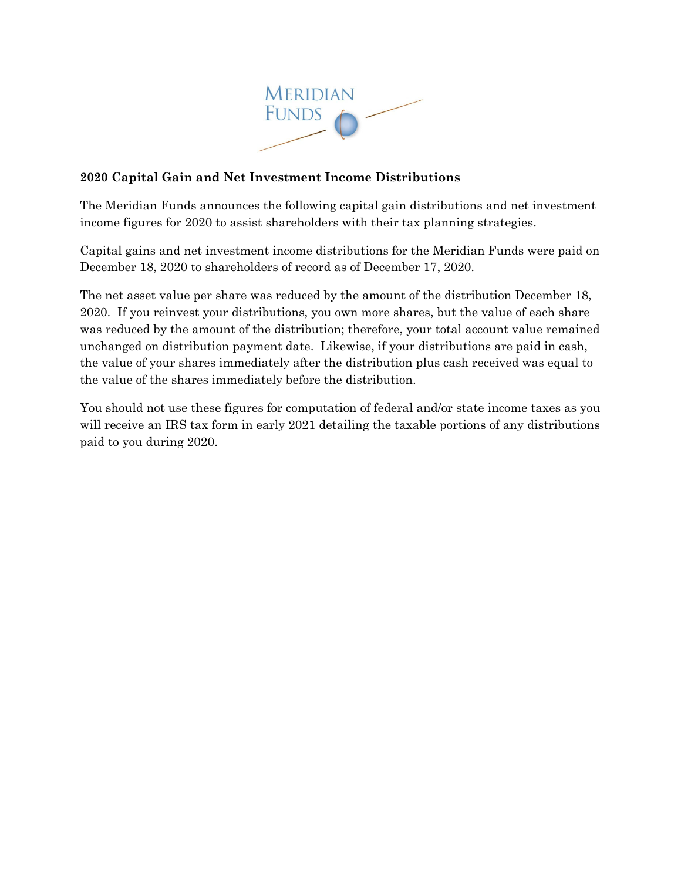

## **2020 Capital Gain and Net Investment Income Distributions**

The Meridian Funds announces the following capital gain distributions and net investment income figures for 2020 to assist shareholders with their tax planning strategies.

Capital gains and net investment income distributions for the Meridian Funds were paid on December 18, 2020 to shareholders of record as of December 17, 2020.

The net asset value per share was reduced by the amount of the distribution December 18, 2020. If you reinvest your distributions, you own more shares, but the value of each share was reduced by the amount of the distribution; therefore, your total account value remained unchanged on distribution payment date. Likewise, if your distributions are paid in cash, the value of your shares immediately after the distribution plus cash received was equal to the value of the shares immediately before the distribution.

You should not use these figures for computation of federal and/or state income taxes as you will receive an IRS tax form in early 2021 detailing the taxable portions of any distributions paid to you during 2020.